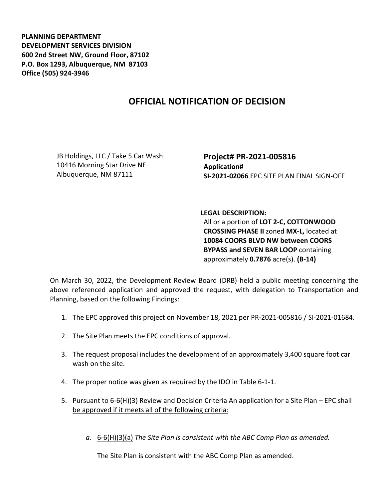**PLANNING DEPARTMENT DEVELOPMENT SERVICES DIVISION 600 2nd Street NW, Ground Floor, 87102 P.O. Box 1293, Albuquerque, NM 87103 Office (505) 924-3946** 

## **OFFICIAL NOTIFICATION OF DECISION**

JB Holdings, LLC / Take 5 Car Wash 10416 Morning Star Drive NE Albuquerque, NM 87111

**Project# PR-2021-005816 Application# SI-2021-02066** EPC SITE PLAN FINAL SIGN-OFF

**LEGAL DESCRIPTION:** All or a portion of **LOT 2-C, COTTONWOOD CROSSING PHASE II** zoned **MX-L,** located at **10084 COORS BLVD NW between COORS BYPASS and SEVEN BAR LOOP** containing approximately **0.7876** acre(s). **(B-14)**

On March 30, 2022, the Development Review Board (DRB) held a public meeting concerning the above referenced application and approved the request, with delegation to Transportation and Planning, based on the following Findings:

- 1. The EPC approved this project on November 18, 2021 per PR-2021-005816 / SI-2021-01684.
- 2. The Site Plan meets the EPC conditions of approval.
- 3. The request proposal includes the development of an approximately 3,400 square foot car wash on the site.
- 4. The proper notice was given as required by the IDO in Table 6-1-1.
- 5. Pursuant to 6-6(H)(3) Review and Decision Criteria An application for a Site Plan EPC shall be approved if it meets all of the following criteria:
	- *a.* 6-6(H)(3)(a) *The Site Plan is consistent with the ABC Comp Plan as amended.*

The Site Plan is consistent with the ABC Comp Plan as amended.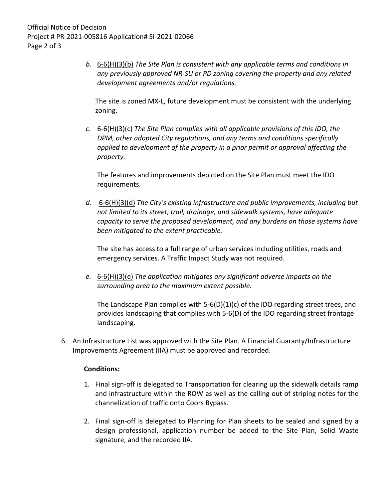*b.* 6-6(H)(3)(b) *The Site Plan is consistent with any applicable terms and conditions in any previously approved NR-SU or PD zoning covering the property and any related development agreements and/or regulations.* 

The site is zoned MX-L, future development must be consistent with the underlying zoning.

*c.* 6-6(H)(3)(c) *The Site Plan complies with all applicable provisions of this IDO, the DPM, other adopted City regulations, and any terms and conditions specifically applied to development of the property in a prior permit or approval affecting the property.* 

The features and improvements depicted on the Site Plan must meet the IDO requirements.

*d.* 6-6(H)(3)(d) *The City's existing infrastructure and public improvements, including but not limited to its street, trail, drainage, and sidewalk systems, have adequate capacity to serve the proposed development, and any burdens on those systems have been mitigated to the extent practicable.* 

The site has access to a full range of urban services including utilities, roads and emergency services. A Traffic Impact Study was not required.

*e.* 6-6(H)(3)(e) *The application mitigates any significant adverse impacts on the surrounding area to the maximum extent possible.* 

The Landscape Plan complies with 5-6(D)(1)(c) of the IDO regarding street trees, and provides landscaping that complies with 5-6(D) of the IDO regarding street frontage landscaping.

6. An Infrastructure List was approved with the Site Plan. A Financial Guaranty/Infrastructure Improvements Agreement (IIA) must be approved and recorded.

## **Conditions:**

- 1. Final sign-off is delegated to Transportation for clearing up the sidewalk details ramp and infrastructure within the ROW as well as the calling out of striping notes for the channelization of traffic onto Coors Bypass.
- 2. Final sign-off is delegated to Planning for Plan sheets to be sealed and signed by a design professional, application number be added to the Site Plan, Solid Waste signature, and the recorded IIA.